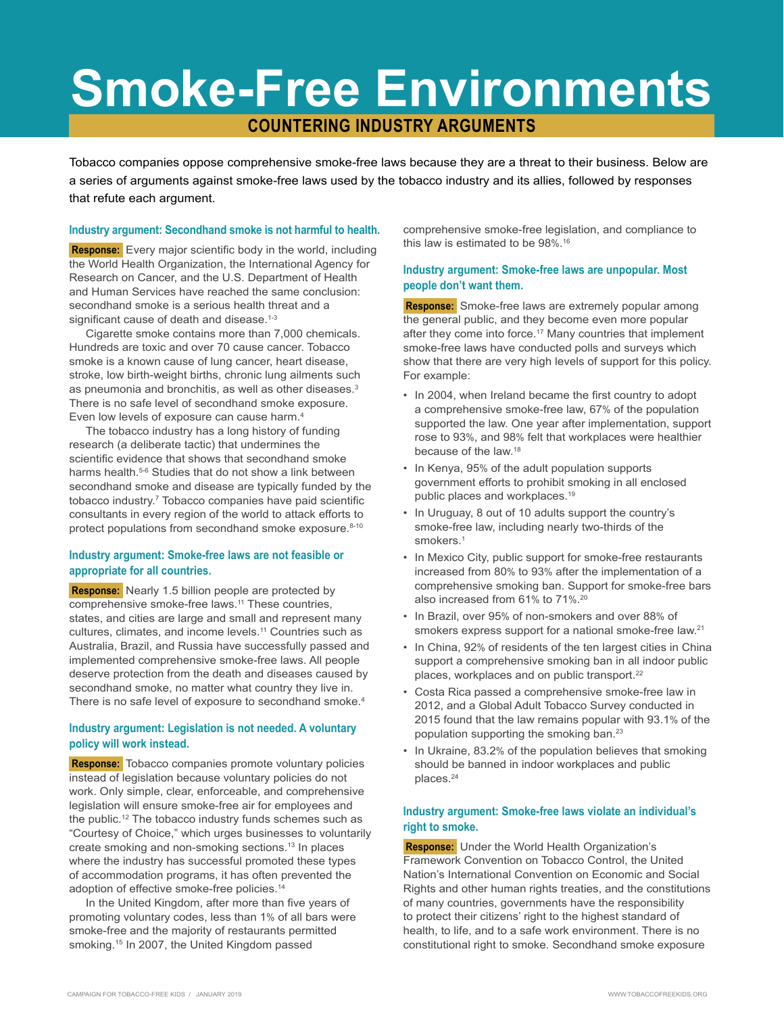# **Smoke-Free Environments**

# **COUNTERING INDUSTRY ARGUMENTS**

Tobacco companies oppose comprehensive smoke-free laws because they are a threat to their business. Below are a series of arguments against smoke-free laws used by the tobacco industry and its allies, followed by responses that refute each argument.

#### **Industry argument: Secondhand smoke is not harmful to health.**

**Response:** Every major scientific body in the world, including the World Health Organization, the International Agency for Research on Cancer, and the U.S. Department of Health and Human Services have reached the same conclusion: secondhand smoke is a serious health threat and a significant cause of death and disease.<sup>1-3</sup>

Cigarette smoke contains more than 7,000 chemicals. Hundreds are toxic and over 70 cause cancer. Tobacco smoke is a known cause of lung cancer, heart disease, stroke, low birth-weight births, chronic lung ailments such as pneumonia and bronchitis, as well as other diseases.<sup>3</sup> There is no safe level of secondhand smoke exposure. Even low levels of exposure can cause harm.4

The tobacco industry has a long history of funding research (a deliberate tactic) that undermines the scientific evidence that shows that secondhand smoke harms health.<sup>5-6</sup> Studies that do not show a link between secondhand smoke and disease are typically funded by the tobacco industry.7 Tobacco companies have paid scientific consultants in every region of the world to attack efforts to protect populations from secondhand smoke exposure.<sup>8-10</sup>

# **Industry argument: Smoke-free laws are not feasible or appropriate for all countries.**

 **Response:** Nearly 1.5 billion people are protected by comprehensive smoke-free laws.<sup>11</sup> These countries, states, and cities are large and small and represent many cultures, climates, and income levels.11 Countries such as Australia, Brazil, and Russia have successfully passed and implemented comprehensive smoke-free laws. All people deserve protection from the death and diseases caused by secondhand smoke, no matter what country they live in. There is no safe level of exposure to secondhand smoke.<sup>4</sup>

# **Industry argument: Legislation is not needed. A voluntary policy will work instead.**

 **Response:** Tobacco companies promote voluntary policies instead of legislation because voluntary policies do not work. Only simple, clear, enforceable, and comprehensive legislation will ensure smoke-free air for employees and the public.<sup>12</sup> The tobacco industry funds schemes such as "Courtesy of Choice," which urges businesses to voluntarily create smoking and non-smoking sections.13 In places where the industry has successful promoted these types of accommodation programs, it has often prevented the adoption of effective smoke-free policies.14

In the United Kingdom, after more than five years of promoting voluntary codes, less than 1% of all bars were smoke-free and the majority of restaurants permitted smoking.15 In 2007, the United Kingdom passed

comprehensive smoke-free legislation, and compliance to this law is estimated to be 98%. 16

# **Industry argument: Smoke-free laws are unpopular. Most people don't want them.**

 **Response:** Smoke-free laws are extremely popular among the general public, and they become even more popular after they come into force.<sup>17</sup> Many countries that implement smoke-free laws have conducted polls and surveys which show that there are very high levels of support for this policy. For example:

- In 2004, when Ireland became the first country to adopt a comprehensive smoke-free law, 67% of the population supported the law. One year after implementation, support rose to 93%, and 98% felt that workplaces were healthier because of the law.18
- In Kenya, 95% of the adult population supports government efforts to prohibit smoking in all enclosed public places and workplaces.19
- In Uruguay, 8 out of 10 adults support the country's smoke-free law, including nearly two-thirds of the smokers.<sup>1</sup>
- In Mexico City, public support for smoke-free restaurants increased from 80% to 93% after the implementation of a comprehensive smoking ban. Support for smoke-free bars also increased from 61% to 71%. 20
- In Brazil, over 95% of non-smokers and over 88% of smokers express support for a national smoke-free law.<sup>21</sup>
- In China, 92% of residents of the ten largest cities in China support a comprehensive smoking ban in all indoor public places, workplaces and on public transport.<sup>22</sup>
- Costa Rica passed a comprehensive smoke-free law in 2012, and a Global Adult Tobacco Survey conducted in 2015 found that the law remains popular with 93.1% of the population supporting the smoking ban.23
- In Ukraine, 83.2% of the population believes that smoking should be banned in indoor workplaces and public places.24

# **Industry argument: Smoke-free laws violate an individual's right to smoke.**

 **Response:** Under the World Health Organization's Framework Convention on Tobacco Control, the United Nation's International Convention on Economic and Social Rights and other human rights treaties, and the constitutions of many countries, governments have the responsibility to protect their citizens' right to the highest standard of health, to life, and to a safe work environment. There is no constitutional right to smoke. Secondhand smoke exposure